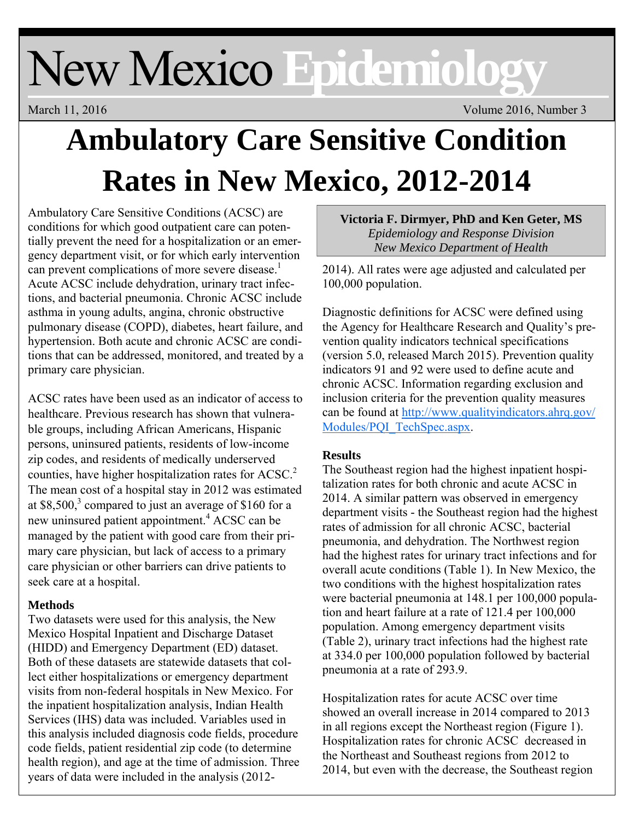# New Mexico **Epidemiology**

March 11, 2016 Volume 2016, Number 3

# **Ambulatory Care Sensitive Condition Rates in New Mexico, 2012-2014**

Ambulatory Care Sensitive Conditions (ACSC) are conditions for which good outpatient care can potentially prevent the need for a hospitalization or an emergency department visit, or for which early intervention can prevent complications of more severe disease.<sup>1</sup> Acute ACSC include dehydration, urinary tract infections, and bacterial pneumonia. Chronic ACSC include asthma in young adults, angina, chronic obstructive pulmonary disease (COPD), diabetes, heart failure, and hypertension. Both acute and chronic ACSC are conditions that can be addressed, monitored, and treated by a primary care physician.

ACSC rates have been used as an indicator of access to healthcare. Previous research has shown that vulnerable groups, including African Americans, Hispanic persons, uninsured patients, residents of low-income zip codes, and residents of medically underserved counties, have higher hospitalization rates for ACSC.<sup>2</sup> The mean cost of a hospital stay in 2012 was estimated at  $$8,500$ ,<sup>3</sup> compared to just an average of  $$160$  for a new uninsured patient appointment.<sup>4</sup> ACSC can be managed by the patient with good care from their primary care physician, but lack of access to a primary care physician or other barriers can drive patients to seek care at a hospital.

## **Methods**

Two datasets were used for this analysis, the New Mexico Hospital Inpatient and Discharge Dataset (HIDD) and Emergency Department (ED) dataset. Both of these datasets are statewide datasets that collect either hospitalizations or emergency department visits from non-federal hospitals in New Mexico. For the inpatient hospitalization analysis, Indian Health Services (IHS) data was included. Variables used in this analysis included diagnosis code fields, procedure code fields, patient residential zip code (to determine health region), and age at the time of admission. Three years of data were included in the analysis (2012**Victoria F. Dirmyer, PhD and Ken Geter, MS**  *Epidemiology and Response Division New Mexico Department of Health*

2014). All rates were age adjusted and calculated per 100,000 population.

Diagnostic definitions for ACSC were defined using the Agency for Healthcare Research and Quality's prevention quality indicators technical specifications (version 5.0, released March 2015). Prevention quality indicators 91 and 92 were used to define acute and chronic ACSC. Information regarding exclusion and inclusion criteria for the prevention quality measures can be found at http://www.qualityindicators.ahrq.gov/ Modules/PQI\_TechSpec.aspx.

## **Results**

The Southeast region had the highest inpatient hospitalization rates for both chronic and acute ACSC in 2014. A similar pattern was observed in emergency department visits - the Southeast region had the highest rates of admission for all chronic ACSC, bacterial pneumonia, and dehydration. The Northwest region had the highest rates for urinary tract infections and for overall acute conditions (Table 1). In New Mexico, the two conditions with the highest hospitalization rates were bacterial pneumonia at 148.1 per 100,000 population and heart failure at a rate of 121.4 per 100,000 population. Among emergency department visits (Table 2), urinary tract infections had the highest rate at 334.0 per 100,000 population followed by bacterial pneumonia at a rate of 293.9.

Hospitalization rates for acute ACSC over time showed an overall increase in 2014 compared to 2013 in all regions except the Northeast region (Figure 1). Hospitalization rates for chronic ACSC decreased in the Northeast and Southeast regions from 2012 to 2014, but even with the decrease, the Southeast region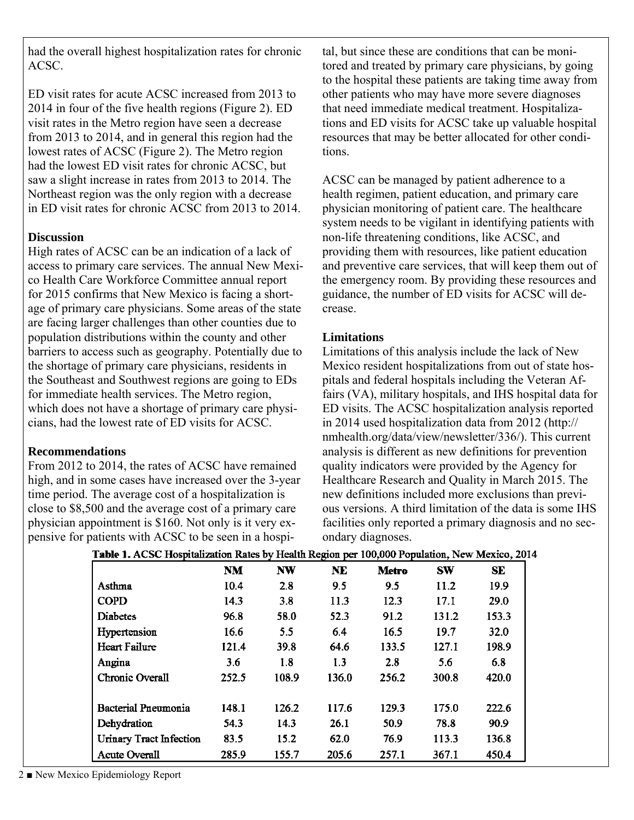had the overall highest hospitalization rates for chronic ACSC.

ED visit rates for acute ACSC increased from 2013 to 2014 in four of the five health regions (Figure 2). ED visit rates in the Metro region have seen a decrease from 2013 to 2014, and in general this region had the lowest rates of ACSC (Figure 2). The Metro region had the lowest ED visit rates for chronic ACSC, but saw a slight increase in rates from 2013 to 2014. The Northeast region was the only region with a decrease in ED visit rates for chronic ACSC from 2013 to 2014.

#### **Discussion**

High rates of ACSC can be an indication of a lack of access to primary care services. The annual New Mexico Health Care Workforce Committee annual report for 2015 confirms that New Mexico is facing a shortage of primary care physicians. Some areas of the state are facing larger challenges than other counties due to population distributions within the county and other barriers to access such as geography. Potentially due to the shortage of primary care physicians, residents in the Southeast and Southwest regions are going to EDs for immediate health services. The Metro region, which does not have a shortage of primary care physicians, had the lowest rate of ED visits for ACSC.

#### **Recommendations**

From 2012 to 2014, the rates of ACSC have remained high, and in some cases have increased over the 3-year time period. The average cost of a hospitalization is close to \$8,500 and the average cost of a primary care physician appointment is \$160. Not only is it very expensive for patients with ACSC to be seen in a hospi-

tal, but since these are conditions that can be monitored and treated by primary care physicians, by going to the hospital these patients are taking time away from other patients who may have more severe diagnoses that need immediate medical treatment. Hospitalizations and ED visits for ACSC take up valuable hospital resources that may be better allocated for other conditions.

ACSC can be managed by patient adherence to a health regimen, patient education, and primary care physician monitoring of patient care. The healthcare system needs to be vigilant in identifying patients with non-life threatening conditions, like ACSC, and providing them with resources, like patient education and preventive care services, that will keep them out of the emergency room. By providing these resources and guidance, the number of ED visits for ACSC will decrease.

#### **Limitations**

Limitations of this analysis include the lack of New Mexico resident hospitalizations from out of state hospitals and federal hospitals including the Veteran Affairs (VA), military hospitals, and IHS hospital data for ED visits. The ACSC hospitalization analysis reported in 2014 used hospitalization data from 2012 (http:// nmhealth.org/data/view/newsletter/336/). This current analysis is different as new definitions for prevention quality indicators were provided by the Agency for Healthcare Research and Quality in March 2015. The new definitions included more exclusions than previous versions. A third limitation of the data is some IHS facilities only reported a primary diagnosis and no secondary diagnoses.

|                                |           |           | <del></del> |              |           |           |
|--------------------------------|-----------|-----------|-------------|--------------|-----------|-----------|
|                                | <b>NM</b> | <b>NW</b> | <b>NE</b>   | <b>Metro</b> | <b>SW</b> | <b>SE</b> |
| Asthma                         | 10.4      | 2.8       | 9.5         | 9.5          | 11.2      | 19.9      |
| <b>COPD</b>                    | 14.3      | 3.8       | 11.3        | 12.3         | 17.1      | 29.0      |
| <b>Diabetes</b>                | 96.8      | 58.0      | 52.3        | 91.2         | 131.2     | 153.3     |
| Hypertension                   | 16.6      | 5.5       | 6.4         | 16.5         | 19.7      | 32.0      |
| <b>Heart Failure</b>           | 121.4     | 39.8      | 64.6        | 133.5        | 127.1     | 198.9     |
| Angina                         | 3.6       | 1.8       | 1.3         | 2.8          | 5.6       | 6.8       |
| <b>Chronic Overall</b>         | 252.5     | 108.9     | 136.0       | 256.2        | 300.8     | 420.0     |
| <b>Bacterial Pneumonia</b>     | 148.1     | 126.2     | 117.6       | 129.3        | 175.0     | 222.6     |
| Dehydration                    | 54.3      | 14.3      | 26.1        | 50.9         | 78.8      | 90.9      |
| <b>Urinary Tract Infection</b> | 83.5      | 15.2      | 62.0        | 76.9         | 113.3     | 136.8     |
| <b>Acute Overall</b>           | 285.9     | 155.7     | 205.6       | 257.1        | 367.1     | 450.4     |

| 1414 [2014] Table 1. ACSC Hospitalization Rates by Health Region per 100,000 Population, New Mexico, |  |  |
|------------------------------------------------------------------------------------------------------|--|--|
|                                                                                                      |  |  |

2 ■ New Mexico Epidemiology Report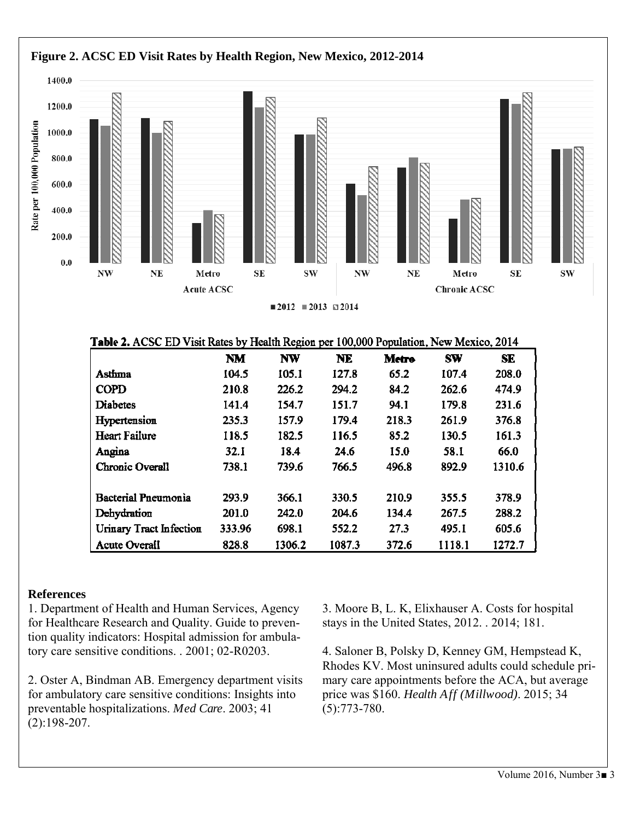

#### **References**

1. Department of Health and Human Services, Agency for Healthcare Research and Quality. Guide to prevention quality indicators: Hospital admission for ambulatory care sensitive conditions. . 2001; 02-R0203.

2. Oster A, Bindman AB. Emergency department visits for ambulatory care sensitive conditions: Insights into preventable hospitalizations. *Med Care*. 2003; 41 (2):198-207.

3. Moore B, L. K, Elixhauser A. Costs for hospital stays in the United States, 2012. . 2014; 181.

4. Saloner B, Polsky D, Kenney GM, Hempstead K, Rhodes KV. Most uninsured adults could schedule primary care appointments before the ACA, but average price was \$160. *Health Aff (Millwood)*. 2015; 34 (5):773-780.